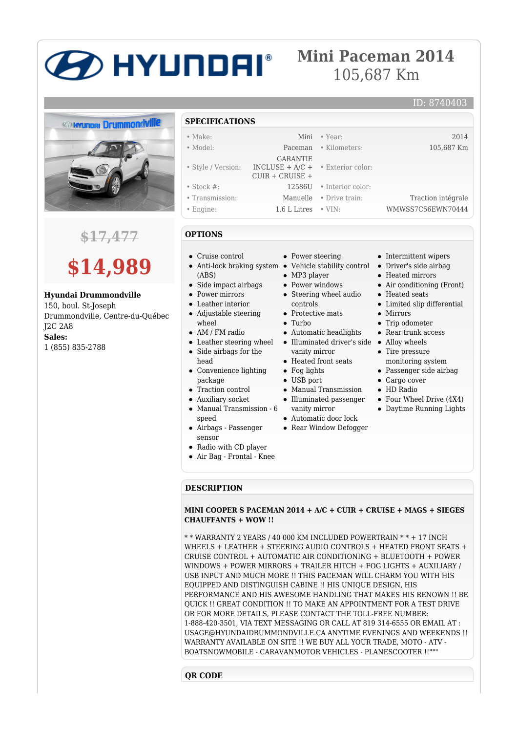# **BETA AND HIS REPORT**

# **Mini Paceman 2014** 105,687 Km



## **\$17,477**



#### **Hyundai Drummondville**

150, boul. St-Joseph Drummondville, Centre-du-Québec J2C 2A8 **Sales:** 1 (855) 835-2788

#### **SPECIFICATIONS**

| --------------     |                                                                                     |                          |                    |
|--------------------|-------------------------------------------------------------------------------------|--------------------------|--------------------|
| $\bullet$ Make:    |                                                                                     | Mini • Year:             | 2014               |
| $\bullet$ Model:   |                                                                                     | Paceman • Kilometers:    | 105,687 Km         |
| • Style / Version: | <b>GARANTIE</b><br>INCLUSE + $A/C$ + $\bullet$ Exterior color:<br>$CUIR + CRUISE +$ |                          |                    |
| $\bullet$ Stock #: |                                                                                     | 12586U • Interior color: |                    |
| • Transmission:    |                                                                                     | Manuelle • Drive train:  | Traction intégrale |
| • Engine:          | $1.6$ L Litres $\cdot$ VIN:                                                         |                          | WMWSS7C56EWN70444  |

#### **OPTIONS**

- Cruise control
- (ABS)
- Side impact airbags
- Power mirrors
- Leather interior • Adjustable steering
- wheel
- AM / FM radio
- Leather steering wheel Side airbags for the head
- Convenience lighting package
- Traction control
- Auxiliary socket
- Manual Transmission 6 speed
- Airbags Passenger sensor
- Radio with CD player
- Air Bag Frontal Knee
- 

#### **DESCRIPTION**

#### **MINI COOPER S PACEMAN 2014 + A/C + CUIR + CRUISE + MAGS + SIEGES CHAUFFANTS + WOW !!**

\* \* WARRANTY 2 YEARS / 40 000 KM INCLUDED POWERTRAIN \* \* + 17 INCH WHEELS + LEATHER + STEERING AUDIO CONTROLS + HEATED FRONT SEATS + CRUISE CONTROL + AUTOMATIC AIR CONDITIONING + BLUETOOTH + POWER WINDOWS + POWER MIRRORS + TRAILER HITCH + FOG LIGHTS + AUXILIARY / USB INPUT AND MUCH MORE !! THIS PACEMAN WILL CHARM YOU WITH HIS EQUIPPED AND DISTINGUISH CABINE !! HIS UNIQUE DESIGN, HIS PERFORMANCE AND HIS AWESOME HANDLING THAT MAKES HIS RENOWN !! BE QUICK !! GREAT CONDITION !! TO MAKE AN APPOINTMENT FOR A TEST DRIVE OR FOR MORE DETAILS, PLEASE CONTACT THE TOLL-FREE NUMBER: 1-888-420-3501, VIA TEXT MESSAGING OR CALL AT 819 314-6555 OR EMAIL AT : USAGE@HYUNDAIDRUMMONDVILLE.CA ANYTIME EVENINGS AND WEEKENDS !! WARRANTY AVAILABLE ON SITE !! WE BUY ALL YOUR TRADE, MOTO - ATV - BOATSNOWMOBILE - CARAVANMOTOR VEHICLES - PLANESCOOTER !!"""

#### **QR CODE**

### • Power steering

- Anti-lock braking system Vehicle stability control
	- MP3 player
	- Power windows
	- Steering wheel audio controls
	- Protective mats
	- Turbo
	- Automatic headlights
	- Illuminated driver's side Alloy wheels vanity mirror
	- Heated front seats
	- Fog lights
	- USB port
	- Manual Transmission
	- Illuminated passenger vanity mirror
	- Automatic door lock
	- Rear Window Defogger
- Intermittent wipers
- Driver's side airbag
- Heated mirrors
- Air conditioning (Front)

ID: 8740403

- Heated seats
- Limited slip differential
- Mirrors
- Trip odometer
- Rear trunk access
- Tire pressure
- monitoring system
- Passenger side airbag
- Cargo cover • HD Radio
- 
- Four Wheel Drive (4X4)
- Daytime Running Lights